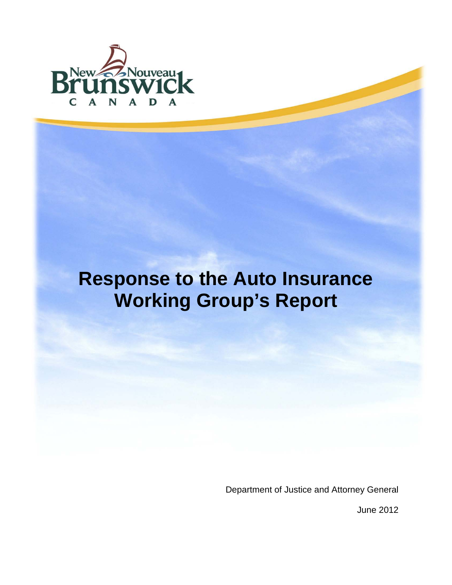

# **Response to the Auto Insurance Working Group's Report**

Department of Justice and Attorney General

June 2012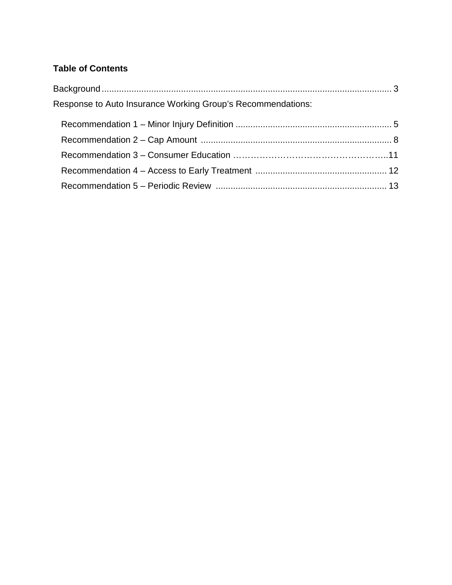# **Table of Contents**

| Response to Auto Insurance Working Group's Recommendations: |  |
|-------------------------------------------------------------|--|
|                                                             |  |
|                                                             |  |
|                                                             |  |
|                                                             |  |
|                                                             |  |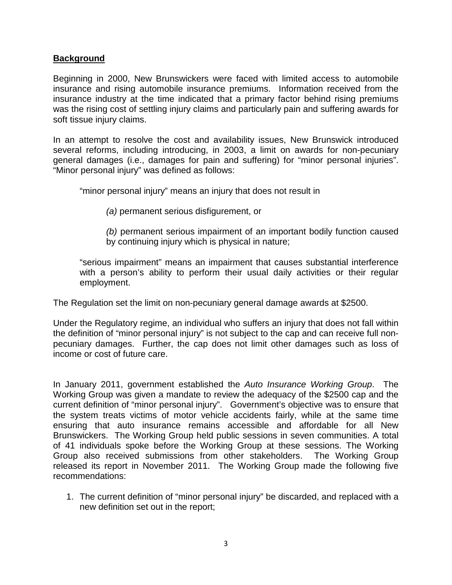# **Background**

Beginning in 2000, New Brunswickers were faced with limited access to automobile insurance and rising automobile insurance premiums. Information received from the insurance industry at the time indicated that a primary factor behind rising premiums was the rising cost of settling injury claims and particularly pain and suffering awards for soft tissue injury claims.

In an attempt to resolve the cost and availability issues, New Brunswick introduced several reforms, including introducing, in 2003, a limit on awards for non-pecuniary general damages (i.e., damages for pain and suffering) for "minor personal injuries". "Minor personal injury" was defined as follows:

"minor personal injury" means an injury that does not result in

*(a)* permanent serious disfigurement, or

*(b)* permanent serious impairment of an important bodily function caused by continuing injury which is physical in nature;

"serious impairment" means an impairment that causes substantial interference with a person's ability to perform their usual daily activities or their regular employment.

The Regulation set the limit on non-pecuniary general damage awards at \$2500.

Under the Regulatory regime, an individual who suffers an injury that does not fall within the definition of "minor personal injury" is not subject to the cap and can receive full nonpecuniary damages. Further, the cap does not limit other damages such as loss of income or cost of future care.

In January 2011, government established the *Auto Insurance Working Group*. The Working Group was given a mandate to review the adequacy of the \$2500 cap and the current definition of "minor personal injury". Government's objective was to ensure that the system treats victims of motor vehicle accidents fairly, while at the same time ensuring that auto insurance remains accessible and affordable for all New Brunswickers. The Working Group held public sessions in seven communities. A total of 41 individuals spoke before the Working Group at these sessions. The Working Group also received submissions from other stakeholders. The Working Group released its report in November 2011. The Working Group made the following five recommendations:

1. The current definition of "minor personal injury" be discarded, and replaced with a new definition set out in the report;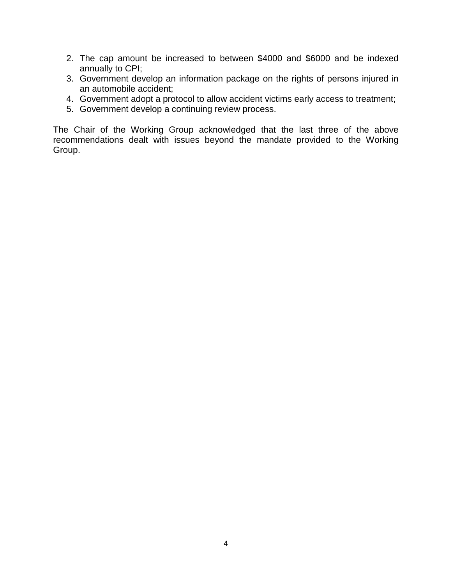- 2. The cap amount be increased to between \$4000 and \$6000 and be indexed annually to CPI;
- 3. Government develop an information package on the rights of persons injured in an automobile accident;
- 4. Government adopt a protocol to allow accident victims early access to treatment;
- 5. Government develop a continuing review process.

The Chair of the Working Group acknowledged that the last three of the above recommendations dealt with issues beyond the mandate provided to the Working Group.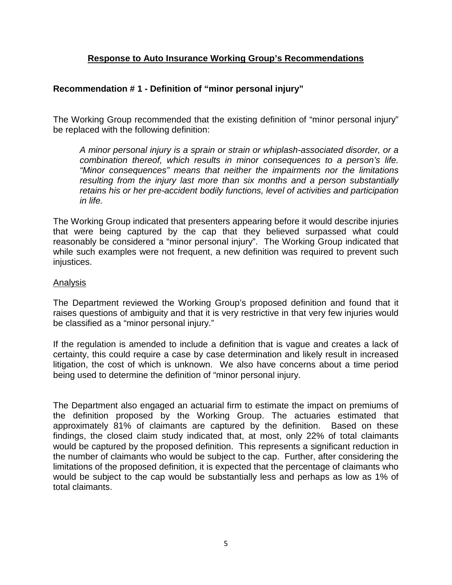# **Response to Auto Insurance Working Group's Recommendations**

# **Recommendation # 1 - Definition of "minor personal injury"**

The Working Group recommended that the existing definition of "minor personal injury" be replaced with the following definition:

*A minor personal injury is a sprain or strain or whiplash-associated disorder, or a combination thereof, which results in minor consequences to a person's life. "Minor consequences" means that neither the impairments nor the limitations resulting from the injury last more than six months and a person substantially retains his or her pre-accident bodily functions, level of activities and participation in life.*

The Working Group indicated that presenters appearing before it would describe injuries that were being captured by the cap that they believed surpassed what could reasonably be considered a "minor personal injury". The Working Group indicated that while such examples were not frequent, a new definition was required to prevent such injustices.

#### Analysis

The Department reviewed the Working Group's proposed definition and found that it raises questions of ambiguity and that it is very restrictive in that very few injuries would be classified as a "minor personal injury."

If the regulation is amended to include a definition that is vague and creates a lack of certainty, this could require a case by case determination and likely result in increased litigation, the cost of which is unknown. We also have concerns about a time period being used to determine the definition of "minor personal injury.

The Department also engaged an actuarial firm to estimate the impact on premiums of the definition proposed by the Working Group. The actuaries estimated that approximately 81% of claimants are captured by the definition. Based on these findings, the closed claim study indicated that, at most, only 22% of total claimants would be captured by the proposed definition. This represents a significant reduction in the number of claimants who would be subject to the cap. Further, after considering the limitations of the proposed definition, it is expected that the percentage of claimants who would be subject to the cap would be substantially less and perhaps as low as 1% of total claimants.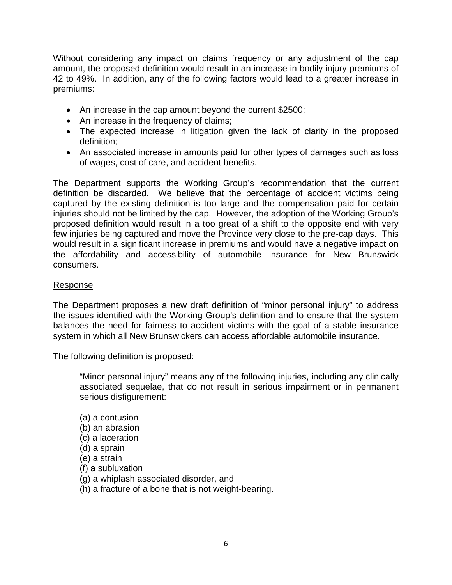Without considering any impact on claims frequency or any adjustment of the cap amount, the proposed definition would result in an increase in bodily injury premiums of 42 to 49%. In addition, any of the following factors would lead to a greater increase in premiums:

- An increase in the cap amount beyond the current \$2500;
- An increase in the frequency of claims;
- The expected increase in litigation given the lack of clarity in the proposed definition;
- An associated increase in amounts paid for other types of damages such as loss of wages, cost of care, and accident benefits.

The Department supports the Working Group's recommendation that the current definition be discarded. We believe that the percentage of accident victims being captured by the existing definition is too large and the compensation paid for certain injuries should not be limited by the cap. However, the adoption of the Working Group's proposed definition would result in a too great of a shift to the opposite end with very few injuries being captured and move the Province very close to the pre-cap days. This would result in a significant increase in premiums and would have a negative impact on the affordability and accessibility of automobile insurance for New Brunswick consumers.

### Response

The Department proposes a new draft definition of "minor personal injury" to address the issues identified with the Working Group's definition and to ensure that the system balances the need for fairness to accident victims with the goal of a stable insurance system in which all New Brunswickers can access affordable automobile insurance.

The following definition is proposed:

"Minor personal injury" means any of the following injuries, including any clinically associated sequelae, that do not result in serious impairment or in permanent serious disfigurement:

(a) a contusion (b) an abrasion (c) a laceration (d) a sprain (e) a strain (f) a subluxation (g) a whiplash associated disorder, and (h) a fracture of a bone that is not weight-bearing.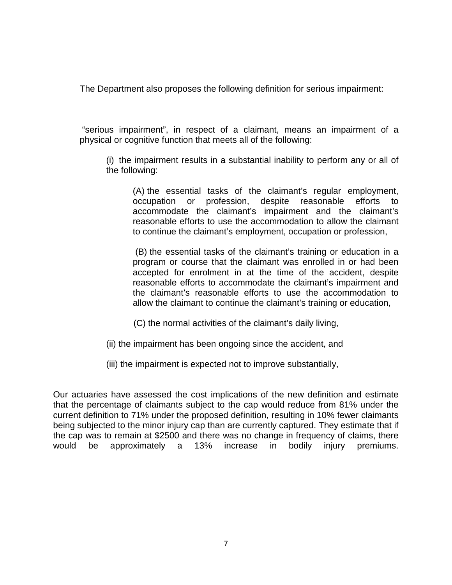The Department also proposes the following definition for serious impairment:

"serious impairment", in respect of a claimant, means an impairment of a physical or cognitive function that meets all of the following:

(i) the impairment results in a substantial inability to perform any or all of the following:

(A) the essential tasks of the claimant's regular employment, occupation or profession, despite reasonable efforts to accommodate the claimant's impairment and the claimant's reasonable efforts to use the accommodation to allow the claimant to continue the claimant's employment, occupation or profession,

(B) the essential tasks of the claimant's training or education in a program or course that the claimant was enrolled in or had been accepted for enrolment in at the time of the accident, despite reasonable efforts to accommodate the claimant's impairment and the claimant's reasonable efforts to use the accommodation to allow the claimant to continue the claimant's training or education,

(C) the normal activities of the claimant's daily living,

(ii) the impairment has been ongoing since the accident, and

(iii) the impairment is expected not to improve substantially,

Our actuaries have assessed the cost implications of the new definition and estimate that the percentage of claimants subject to the cap would reduce from 81% under the current definition to 71% under the proposed definition, resulting in 10% fewer claimants being subjected to the minor injury cap than are currently captured. They estimate that if the cap was to remain at \$2500 and there was no change in frequency of claims, there would be approximately a 13% increase in bodily injury premiums.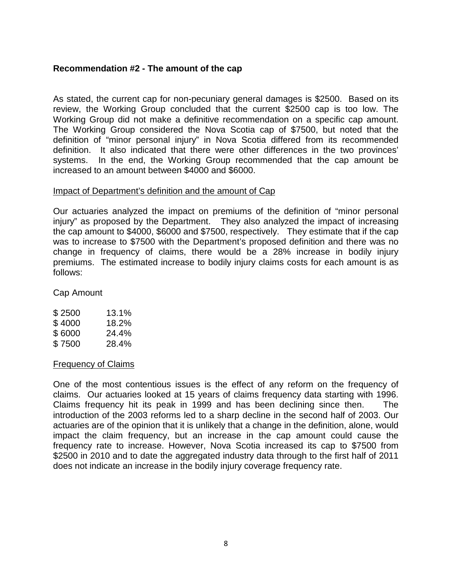# **Recommendation #2 - The amount of the cap**

As stated, the current cap for non-pecuniary general damages is \$2500. Based on its review, the Working Group concluded that the current \$2500 cap is too low. The Working Group did not make a definitive recommendation on a specific cap amount. The Working Group considered the Nova Scotia cap of \$7500, but noted that the definition of "minor personal injury" in Nova Scotia differed from its recommended definition. It also indicated that there were other differences in the two provinces' systems. In the end, the Working Group recommended that the cap amount be increased to an amount between \$4000 and \$6000.

#### Impact of Department's definition and the amount of Cap

Our actuaries analyzed the impact on premiums of the definition of "minor personal injury" as proposed by the Department. They also analyzed the impact of increasing the cap amount to \$4000, \$6000 and \$7500, respectively. They estimate that if the cap was to increase to \$7500 with the Department's proposed definition and there was no change in frequency of claims, there would be a 28% increase in bodily injury premiums. The estimated increase to bodily injury claims costs for each amount is as follows:

Cap Amount

| \$2500 | 13.1% |
|--------|-------|
| \$4000 | 18.2% |
| \$6000 | 24.4% |
| \$7500 | 28.4% |

#### Frequency of Claims

One of the most contentious issues is the effect of any reform on the frequency of claims. Our actuaries looked at 15 years of claims frequency data starting with 1996. Claims frequency hit its peak in 1999 and has been declining since then. The introduction of the 2003 reforms led to a sharp decline in the second half of 2003. Our actuaries are of the opinion that it is unlikely that a change in the definition, alone, would impact the claim frequency, but an increase in the cap amount could cause the frequency rate to increase. However, Nova Scotia increased its cap to \$7500 from \$2500 in 2010 and to date the aggregated industry data through to the first half of 2011 does not indicate an increase in the bodily injury coverage frequency rate.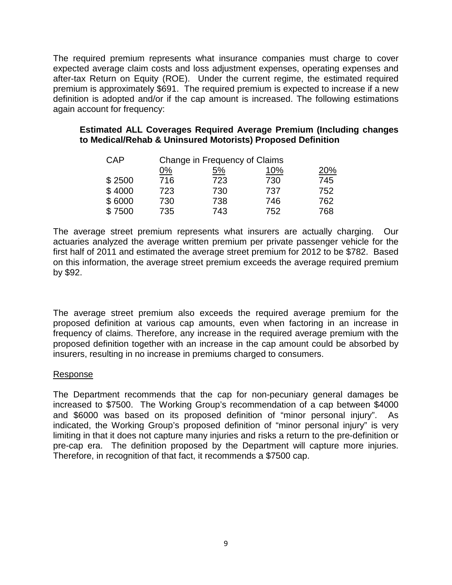The required premium represents what insurance companies must charge to cover expected average claim costs and loss adjustment expenses, operating expenses and after-tax Return on Equity (ROE). Under the current regime, the estimated required premium is approximately \$691. The required premium is expected to increase if a new definition is adopted and/or if the cap amount is increased. The following estimations again account for frequency:

### **Estimated ALL Coverages Required Average Premium (Including changes to Medical/Rehab & Uninsured Motorists) Proposed Definition**

| CAP    |           | Change in Frequency of Claims |     |     |  |
|--------|-----------|-------------------------------|-----|-----|--|
|        | <u>0%</u> | <u>5%</u>                     | 10% | 20% |  |
| \$2500 | 716       | 723                           | 730 | 745 |  |
| \$4000 | 723       | 730                           | 737 | 752 |  |
| \$6000 | 730       | 738                           | 746 | 762 |  |
| \$7500 | 735       | 743                           | 752 | 768 |  |

The average street premium represents what insurers are actually charging. Our actuaries analyzed the average written premium per private passenger vehicle for the first half of 2011 and estimated the average street premium for 2012 to be \$782. Based on this information, the average street premium exceeds the average required premium by \$92.

The average street premium also exceeds the required average premium for the proposed definition at various cap amounts, even when factoring in an increase in frequency of claims. Therefore, any increase in the required average premium with the proposed definition together with an increase in the cap amount could be absorbed by insurers, resulting in no increase in premiums charged to consumers.

### Response

The Department recommends that the cap for non-pecuniary general damages be increased to \$7500. The Working Group's recommendation of a cap between \$4000 and \$6000 was based on its proposed definition of "minor personal injury". As indicated, the Working Group's proposed definition of "minor personal injury" is very limiting in that it does not capture many injuries and risks a return to the pre-definition or pre-cap era. The definition proposed by the Department will capture more injuries. Therefore, in recognition of that fact, it recommends a \$7500 cap.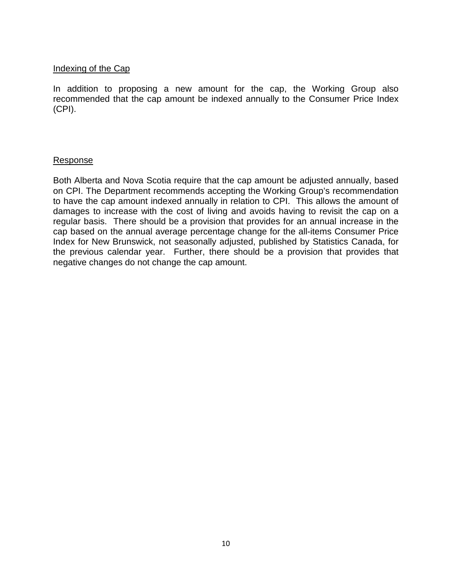### Indexing of the Cap

In addition to proposing a new amount for the cap, the Working Group also recommended that the cap amount be indexed annually to the Consumer Price Index (CPI).

#### Response

Both Alberta and Nova Scotia require that the cap amount be adjusted annually, based on CPI. The Department recommends accepting the Working Group's recommendation to have the cap amount indexed annually in relation to CPI.This allows the amount of damages to increase with the cost of living and avoids having to revisit the cap on a regular basis. There should be a provision that provides for an annual increase in the cap based on the annual average percentage change for the all-items Consumer Price Index for New Brunswick, not seasonally adjusted, published by Statistics Canada, for the previous calendar year. Further, there should be a provision that provides that negative changes do not change the cap amount.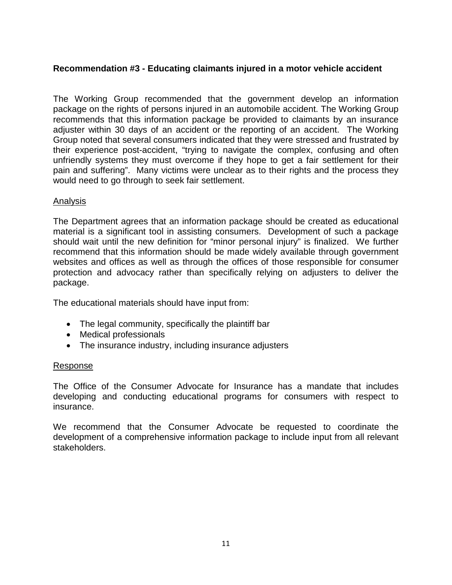# **Recommendation #3 - Educating claimants injured in a motor vehicle accident**

The Working Group recommended that the government develop an information package on the rights of persons injured in an automobile accident. The Working Group recommends that this information package be provided to claimants by an insurance adjuster within 30 days of an accident or the reporting of an accident. The Working Group noted that several consumers indicated that they were stressed and frustrated by their experience post-accident, "trying to navigate the complex, confusing and often unfriendly systems they must overcome if they hope to get a fair settlement for their pain and suffering". Many victims were unclear as to their rights and the process they would need to go through to seek fair settlement.

# Analysis

The Department agrees that an information package should be created as educational material is a significant tool in assisting consumers. Development of such a package should wait until the new definition for "minor personal injury" is finalized. We further recommend that this information should be made widely available through government websites and offices as well as through the offices of those responsible for consumer protection and advocacy rather than specifically relying on adjusters to deliver the package.

The educational materials should have input from:

- The legal community, specifically the plaintiff bar
- Medical professionals
- The insurance industry, including insurance adjusters

### Response

The Office of the Consumer Advocate for Insurance has a mandate that includes developing and conducting educational programs for consumers with respect to insurance.

We recommend that the Consumer Advocate be requested to coordinate the development of a comprehensive information package to include input from all relevant stakeholders.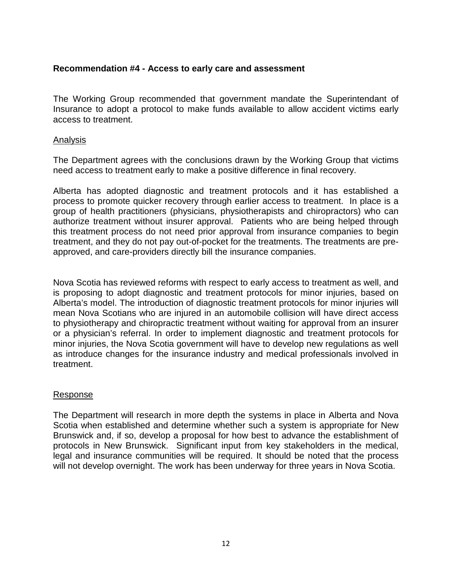# **Recommendation #4 - Access to early care and assessment**

The Working Group recommended that government mandate the Superintendant of Insurance to adopt a protocol to make funds available to allow accident victims early access to treatment.

#### Analysis

The Department agrees with the conclusions drawn by the Working Group that victims need access to treatment early to make a positive difference in final recovery.

Alberta has adopted diagnostic and treatment protocols and it has established a process to promote quicker recovery through earlier access to treatment. In place is a group of health practitioners (physicians, physiotherapists and chiropractors) who can authorize treatment without insurer approval. Patients who are being helped through this treatment process do not need prior approval from insurance companies to begin treatment, and they do not pay out-of-pocket for the treatments. The treatments are preapproved, and care-providers directly bill the insurance companies.

Nova Scotia has reviewed reforms with respect to early access to treatment as well, and is proposing to adopt diagnostic and treatment protocols for minor injuries, based on Alberta's model. The introduction of diagnostic treatment protocols for minor injuries will mean Nova Scotians who are injured in an automobile collision will have direct access to physiotherapy and chiropractic treatment without waiting for approval from an insurer or a physician's referral. In order to implement diagnostic and treatment protocols for minor injuries, the Nova Scotia government will have to develop new regulations as well as introduce changes for the insurance industry and medical professionals involved in treatment.

### Response

The Department will research in more depth the systems in place in Alberta and Nova Scotia when established and determine whether such a system is appropriate for New Brunswick and, if so, develop a proposal for how best to advance the establishment of protocols in New Brunswick. Significant input from key stakeholders in the medical, legal and insurance communities will be required. It should be noted that the process will not develop overnight. The work has been underway for three years in Nova Scotia.